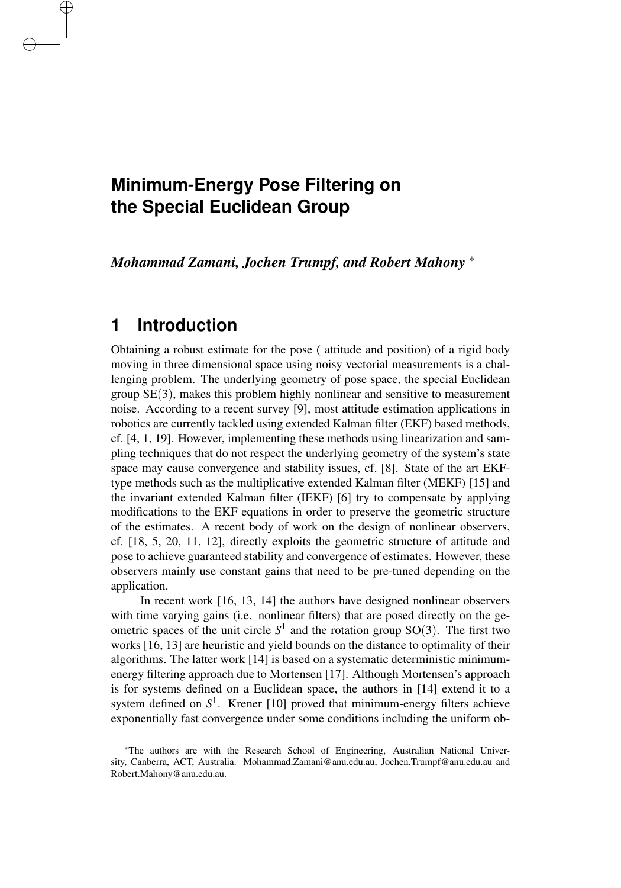# **Minimum-Energy Pose Filtering on the Special Euclidean Group**

*Mohammad Zamani, Jochen Trumpf, and Robert Mahony* <sup>∗</sup>

### **1 Introduction**

✐

✐

Obtaining a robust estimate for the pose ( attitude and position) of a rigid body moving in three dimensional space using noisy vectorial measurements is a challenging problem. The underlying geometry of pose space, the special Euclidean group  $SE(3)$ , makes this problem highly nonlinear and sensitive to measurement noise. According to a recent survey [9], most attitude estimation applications in robotics are currently tackled using extended Kalman filter (EKF) based methods, cf. [4, 1, 19]. However, implementing these methods using linearization and sampling techniques that do not respect the underlying geometry of the system's state space may cause convergence and stability issues, cf. [8]. State of the art EKFtype methods such as the multiplicative extended Kalman filter (MEKF) [15] and the invariant extended Kalman filter (IEKF) [6] try to compensate by applying modifications to the EKF equations in order to preserve the geometric structure of the estimates. A recent body of work on the design of nonlinear observers, cf. [18, 5, 20, 11, 12], directly exploits the geometric structure of attitude and pose to achieve guaranteed stability and convergence of estimates. However, these observers mainly use constant gains that need to be pre-tuned depending on the application.

In recent work [16, 13, 14] the authors have designed nonlinear observers with time varying gains (i.e. nonlinear filters) that are posed directly on the geometric spaces of the unit circle  $S<sup>1</sup>$  and the rotation group SO(3). The first two works [16, 13] are heuristic and yield bounds on the distance to optimality of their algorithms. The latter work [14] is based on a systematic deterministic minimumenergy filtering approach due to Mortensen [17]. Although Mortensen's approach is for systems defined on a Euclidean space, the authors in [14] extend it to a system defined on  $S<sup>1</sup>$ . Krener [10] proved that minimum-energy filters achieve exponentially fast convergence under some conditions including the uniform ob-

<sup>∗</sup>The authors are with the Research School of Engineering, Australian National University, Canberra, ACT, Australia. Mohammad.Zamani@anu.edu.au, Jochen.Trumpf@anu.edu.au and Robert.Mahony@anu.edu.au.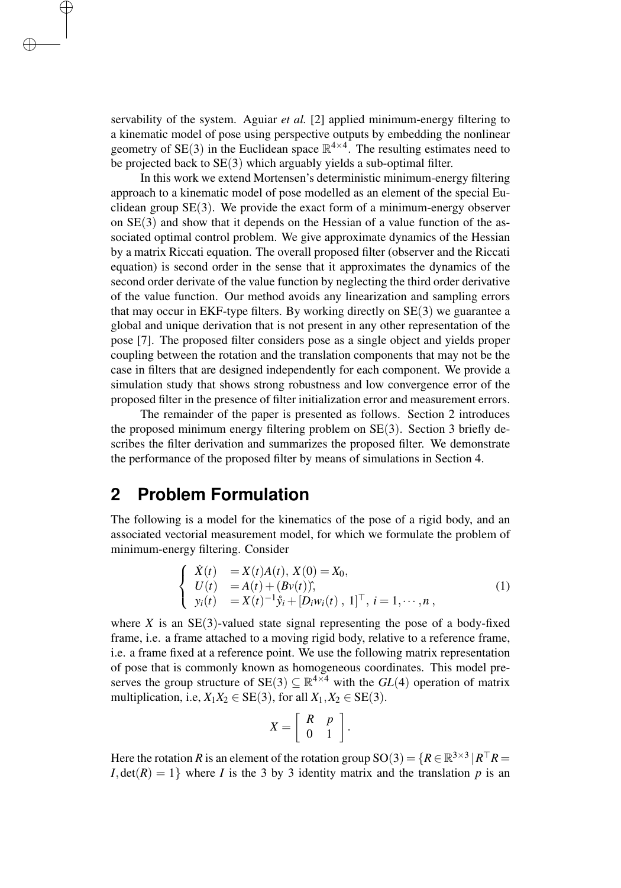servability of the system. Aguiar *et al.* [2] applied minimum-energy filtering to a kinematic model of pose using perspective outputs by embedding the nonlinear geometry of SE(3) in the Euclidean space  $\mathbb{R}^{4 \times 4}$ . The resulting estimates need to be projected back to SE(3) which arguably yields a sub-optimal filter.

In this work we extend Mortensen's deterministic minimum-energy filtering approach to a kinematic model of pose modelled as an element of the special Euclidean group  $SE(3)$ . We provide the exact form of a minimum-energy observer on  $SE(3)$  and show that it depends on the Hessian of a value function of the associated optimal control problem. We give approximate dynamics of the Hessian by a matrix Riccati equation. The overall proposed filter (observer and the Riccati equation) is second order in the sense that it approximates the dynamics of the second order derivate of the value function by neglecting the third order derivative of the value function. Our method avoids any linearization and sampling errors that may occur in EKF-type filters. By working directly on  $SE(3)$  we guarantee a global and unique derivation that is not present in any other representation of the pose [7]. The proposed filter considers pose as a single object and yields proper coupling between the rotation and the translation components that may not be the case in filters that are designed independently for each component. We provide a simulation study that shows strong robustness and low convergence error of the proposed filter in the presence of filter initialization error and measurement errors.

The remainder of the paper is presented as follows. Section 2 introduces the proposed minimum energy filtering problem on SE(3). Section 3 briefly describes the filter derivation and summarizes the proposed filter. We demonstrate the performance of the proposed filter by means of simulations in Section 4.

#### **2 Problem Formulation**

✐

✐

The following is a model for the kinematics of the pose of a rigid body, and an associated vectorial measurement model, for which we formulate the problem of minimum-energy filtering. Consider

$$
\begin{cases}\n\dot{X}(t) = X(t)A(t), X(0) = X_0, \\
U(t) = A(t) + (Bv(t)), \\
y_i(t) = X(t)^{-1}\dot{y}_i + [D_i w_i(t), 1]^{\top}, i = 1, \cdots, n,\n\end{cases}
$$
\n(1)

where  $X$  is an  $SE(3)$ -valued state signal representing the pose of a body-fixed frame, i.e. a frame attached to a moving rigid body, relative to a reference frame, i.e. a frame fixed at a reference point. We use the following matrix representation of pose that is commonly known as homogeneous coordinates. This model preserves the group structure of  $SE(3) \subseteq \mathbb{R}^{4 \times 4}$  with the  $GL(4)$  operation of matrix multiplication, i.e,  $X_1X_2 \in SE(3)$ , for all  $X_1, X_2 \in SE(3)$ .

$$
X=\left[\begin{array}{cc} R & p \\ 0 & 1 \end{array}\right].
$$

Here the rotation *R* is an element of the rotation group  $SO(3) = \{R \in \mathbb{R}^{3 \times 3} | R^{\top}R =$ *I*,  $det(R) = 1$  where *I* is the 3 by 3 identity matrix and the translation *p* is an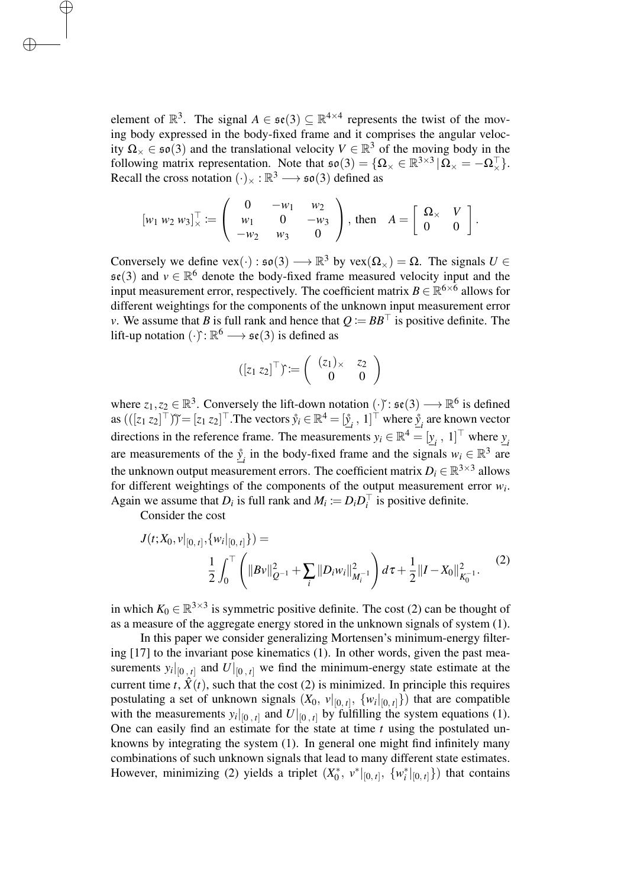element of  $\mathbb{R}^3$ . The signal  $A \in \mathfrak{se}(3) \subseteq \mathbb{R}^{4 \times 4}$  represents the twist of the moving body expressed in the body-fixed frame and it comprises the angular velocity  $\Omega_{\times} \in \mathfrak{so}(3)$  and the translational velocity  $V \in \mathbb{R}^{3}$  of the moving body in the following matrix representation. Note that  $\mathfrak{so}(3) = \{ \Omega_{\times} \in \mathbb{R}^{3 \times 3} | \Omega_{\times} = -\Omega_{\times}^{\top} \}.$ Recall the cross notation  $(\cdot)_\times : \mathbb{R}^3 \longrightarrow \mathfrak{so}(3)$  defined as

$$
[w_1\ w_2\ w_3]_x^\top := \left(\begin{array}{ccc} 0 & -w_1 & w_2 \\ w_1 & 0 & -w_3 \\ -w_2 & w_3 & 0 \end{array}\right), \text{ then } A = \left[\begin{array}{cc} \Omega_\times & V \\ 0 & 0 \end{array}\right].
$$

Conversely we define vex(·) :  $\mathfrak{so}(3) \longrightarrow \mathbb{R}^3$  by vex $(\Omega_\times) = \Omega$ . The signals  $U \in$  $\mathfrak{se}(3)$  and  $v \in \mathbb{R}^6$  denote the body-fixed frame measured velocity input and the input measurement error, respectively. The coefficient matrix  $B \in \mathbb{R}^{6 \times 6}$  allows for different weightings for the components of the unknown input measurement error *v*. We assume that *B* is full rank and hence that  $Q = BB^{\top}$  is positive definite. The lift-up notation  $(\cdot)$ :  $\mathbb{R}^6 \longrightarrow$   $\mathfrak{se}(3)$  is defined as

$$
([z_1 z_2]^{\top}) := \left(\begin{array}{cc} (z_1)_{\times} & z_2 \\ 0 & 0 \end{array}\right)
$$

where  $z_1, z_2 \in \mathbb{R}^3$ . Conversely the lift-down notation  $(\cdot)^{\cdot}$ :  $\mathfrak{se}(3) \longrightarrow \mathbb{R}^6$  is defined as  $(([z_1 \ z_2]^\top)^\sim) = [z_1 \ z_2]^\top$ . The vectors  $\mathring{y}_i \in \mathbb{R}^4 = [\mathring{y}_i, 1]^\top$  where  $\mathring{y}_i$  are known vector directions in the reference frame. The measurements  $y_i \in \mathbb{R}^4 = [y_i, 1]^\top$  where *y* are measurements of the  $\hat{y}_i$  in the body-fixed frame and the signals  $w_i \in \mathbb{R}^3$  are the unknown output measurement errors. The coefficient matrix  $D_i \in \mathbb{R}^{3 \times 3}$  allows for different weightings of the components of the output measurement error *w<sup>i</sup>* . Again we assume that  $D_i$  is full rank and  $M_i := D_i D_i^\top$  is positive definite.

Consider the cost

✐

✐

$$
J(t;X_0,v|_{[0,t]},\{w_i|_{[0,t]}\}) =
$$
  

$$
\frac{1}{2} \int_0^{\top} \left( ||Bv||_{Q^{-1}}^2 + \sum_i ||D_i w_i||_{M_i^{-1}}^2 \right) d\tau + \frac{1}{2} ||I - X_0||_{K_0^{-1}}^2.
$$
 (2)

in which  $K_0 \in \mathbb{R}^{3 \times 3}$  is symmetric positive definite. The cost (2) can be thought of as a measure of the aggregate energy stored in the unknown signals of system (1).

In this paper we consider generalizing Mortensen's minimum-energy filtering [17] to the invariant pose kinematics (1). In other words, given the past measurements  $y_i|_{[0, t]}$  and  $U|_{[0, t]}$  we find the minimum-energy state estimate at the current time  $t$ ,  $\hat{X}(t)$ , such that the cost (2) is minimized. In principle this requires postulating a set of unknown signals  $(X_0, v|_{[0, t]}, \{w_i|_{[0, t]}\})$  that are compatible with the measurements  $y_i|_{[0, t]}$  and  $U|_{[0, t]}$  by fulfilling the system equations (1). One can easily find an estimate for the state at time *t* using the postulated unknowns by integrating the system (1). In general one might find infinitely many combinations of such unknown signals that lead to many different state estimates. However, minimizing (2) yields a triplet  $(X_0^*, v^*|_{[0, t]}, \{w_i^*|_{[0, t]}\})$  that contains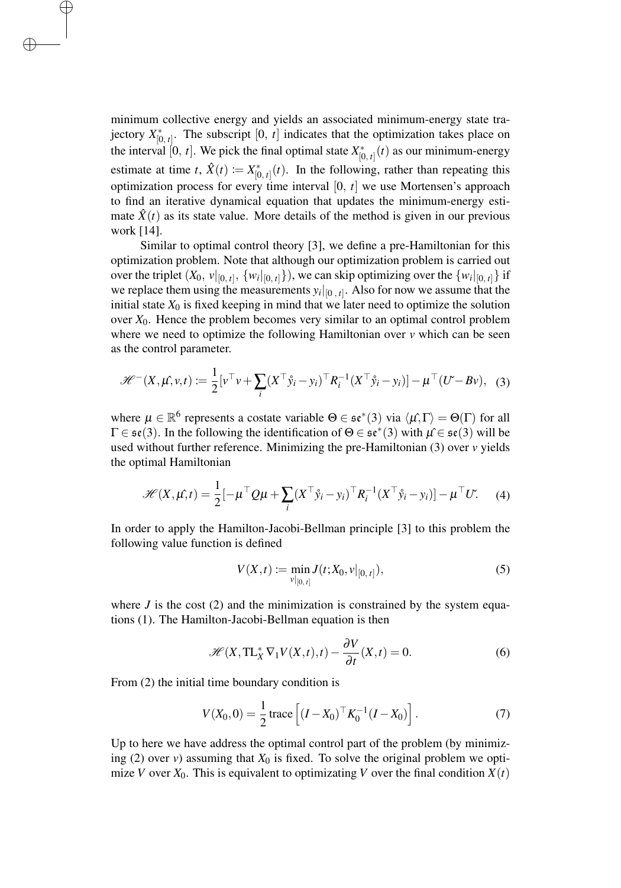minimum collective energy and yields an associated minimum-energy state trajectory  $X_{[0, t]}^*$ . The subscript [0, *t*] indicates that the optimization takes place on the interval [0, *t*]. We pick the final optimal state  $X_{[0, t]}^*(t)$  as our minimum-energy estimate at time *t*,  $\hat{X}(t) := X_{[0, t]}^*(t)$ . In the following, rather than repeating this optimization process for every time interval [0, *t*] we use Mortensen's approach to find an iterative dynamical equation that updates the minimum-energy estimate  $\hat{X}(t)$  as its state value. More details of the method is given in our previous work [14].

✐

✐

Similar to optimal control theory [3], we define a pre-Hamiltonian for this optimization problem. Note that although our optimization problem is carried out over the triplet  $(X_0, v|_{[0, t]}, \{w_i|_{[0, t]}\})$ , we can skip optimizing over the  $\{w_i|_{[0, t]}\}$  if we replace them using the measurements  $y_i|_{[0, t]}$ . Also for now we assume that the initial state  $X_0$  is fixed keeping in mind that we later need to optimize the solution over *X*0. Hence the problem becomes very similar to an optimal control problem where we need to optimize the following Hamiltonian over *v* which can be seen as the control parameter.

$$
\mathcal{H}^{-}(X,\mu,v,t) \coloneqq \frac{1}{2} \left[ v^{\top} v + \sum_{i} (X^{\top} \mathring{y}_{i} - y_{i})^{\top} R_{i}^{-1} (X^{\top} \mathring{y}_{i} - y_{i}) \right] - \mu^{\top} (U - Bv), \quad (3)
$$

where  $\mu \in \mathbb{R}^6$  represents a costate variable  $\Theta \in \mathfrak{se}^*(3)$  via  $\langle \mu, \Gamma \rangle = \Theta(\Gamma)$  for all  $\Gamma \in \mathfrak{se}(3)$ . In the following the identification of  $\Theta \in \mathfrak{se}^*(3)$  with  $\mu \in \mathfrak{se}(3)$  will be used without further reference. Minimizing the pre-Hamiltonian (3) over *v* yields the optimal Hamiltonian

$$
\mathcal{H}(X,\mu,t) = \frac{1}{2} \left[ -\mu^\top Q \mu + \sum_i (X^\top \mathbf{\hat{y}}_i - \mathbf{y}_i)^\top R_i^{-1} (X^\top \mathbf{\hat{y}}_i - \mathbf{y}_i) \right] - \mu^\top U. \tag{4}
$$

In order to apply the Hamilton-Jacobi-Bellman principle [3] to this problem the following value function is defined

$$
V(X,t) := \min_{v|_{[0,t]}} J(t;X_0,v|_{[0,t]}),
$$
\n(5)

where  $J$  is the cost  $(2)$  and the minimization is constrained by the system equations (1). The Hamilton-Jacobi-Bellman equation is then

$$
\mathcal{H}(X, \mathrm{TL}_X^* \nabla_1 V(X, t), t) - \frac{\partial V}{\partial t}(X, t) = 0.
$$
 (6)

From (2) the initial time boundary condition is

$$
V(X_0, 0) = \frac{1}{2} \operatorname{trace} \left[ (I - X_0)^\top K_0^{-1} (I - X_0) \right]. \tag{7}
$$

Up to here we have address the optimal control part of the problem (by minimizing (2) over *v*) assuming that  $X_0$  is fixed. To solve the original problem we optimize *V* over  $X_0$ . This is equivalent to optimizating *V* over the final condition  $X(t)$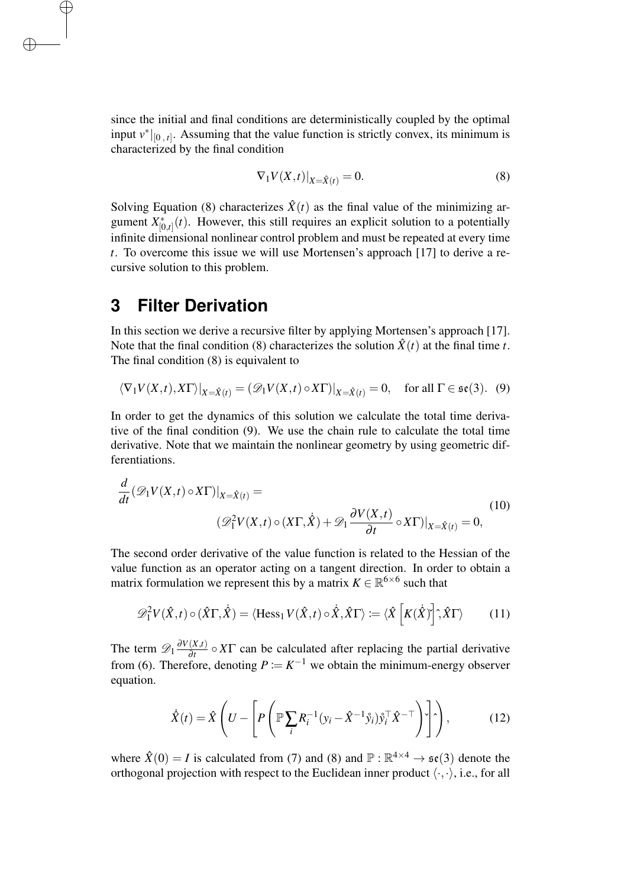since the initial and final conditions are deterministically coupled by the optimal input  $v^*|_{[0, t]}$ . Assuming that the value function is strictly convex, its minimum is characterized by the final condition

$$
\nabla_1 V(X,t)|_{X=\hat{X}(t)} = 0.
$$
\n(8)

Solving Equation (8) characterizes  $\hat{X}(t)$  as the final value of the minimizing argument  $X^*_{[0,t]}(t)$ . However, this still requires an explicit solution to a potentially infinite dimensional nonlinear control problem and must be repeated at every time *t*. To overcome this issue we will use Mortensen's approach [17] to derive a recursive solution to this problem.

#### **3 Filter Derivation**

✐

✐

In this section we derive a recursive filter by applying Mortensen's approach [17]. Note that the final condition (8) characterizes the solution  $\hat{X}(t)$  at the final time *t*. The final condition (8) is equivalent to

$$
\langle \nabla_1 V(X,t), X\Gamma \rangle|_{X=\hat{X}(t)} = (\mathscr{D}_1 V(X,t) \circ X\Gamma)|_{X=\hat{X}(t)} = 0, \quad \text{for all } \Gamma \in \mathfrak{se}(3). \tag{9}
$$

In order to get the dynamics of this solution we calculate the total time derivative of the final condition (9). We use the chain rule to calculate the total time derivative. Note that we maintain the nonlinear geometry by using geometric differentiations.

$$
\frac{d}{dt}(\mathcal{D}_1 V(X,t) \circ X\Gamma)|_{X=\hat{X}(t)} =
$$
\n
$$
(\mathcal{D}_1^2 V(X,t) \circ (X\Gamma, \hat{X}) + \mathcal{D}_1 \frac{\partial V(X,t)}{\partial t} \circ X\Gamma)|_{X=\hat{X}(t)} = 0,
$$
\n(10)

The second order derivative of the value function is related to the Hessian of the value function as an operator acting on a tangent direction. In order to obtain a matrix formulation we represent this by a matrix  $K \in \mathbb{R}^{6 \times 6}$  such that

$$
\mathscr{D}_1^2 V(\hat{X}, t) \circ (\hat{X}\Gamma, \dot{\hat{X}}) = \langle \text{Hess}_1 V(\hat{X}, t) \circ \dot{\hat{X}}, \hat{X}\Gamma \rangle := \langle \hat{X} \left[ K(\dot{\hat{X}}) \right], \hat{X}\Gamma \rangle \tag{11}
$$

The term  $\mathscr{D}_1 \frac{\partial V(X,t)}{\partial t}$  $\frac{(\lambda, t)}{\partial t} \circ XT$  can be calculated after replacing the partial derivative from (6). Therefore, denoting  $P := K^{-1}$  we obtain the minimum-energy observer equation.

$$
\dot{\hat{X}}(t) = \hat{X} \left( U - \left[ P \left( \mathbb{P} \sum_{i} R_{i}^{-1} (y_{i} - \hat{X}^{-1} \hat{y}_{i}) \hat{y}_{i}^{\top} \hat{X}^{-\top} \right) \right] \right), \tag{12}
$$

where  $\hat{X}(0) = I$  is calculated from (7) and (8) and  $\mathbb{P} : \mathbb{R}^{4 \times 4} \to \mathfrak{se}(3)$  denote the orthogonal projection with respect to the Euclidean inner product  $\langle \cdot, \cdot \rangle$ , i.e., for all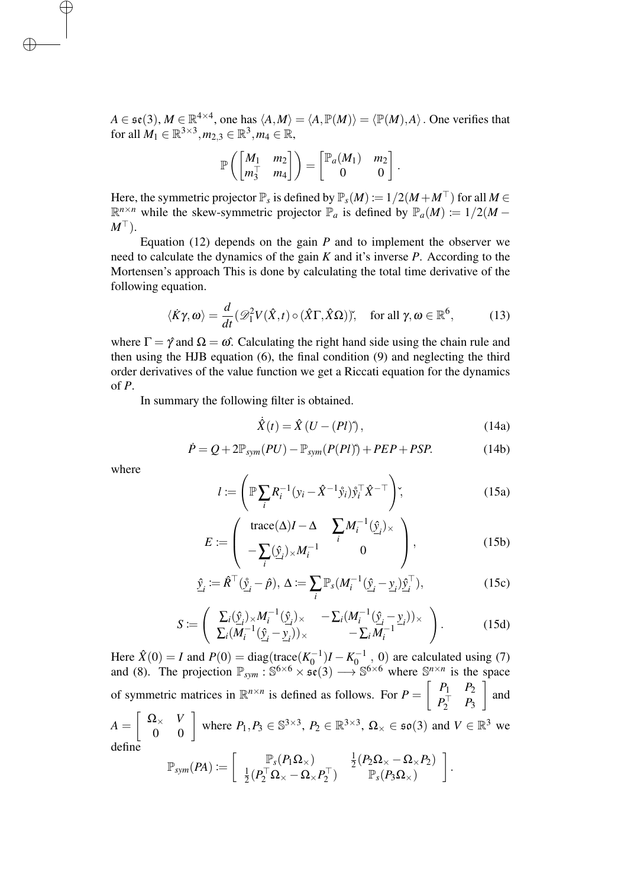$A \in \mathfrak{se}(3), M \in \mathbb{R}^{4 \times 4}$ , one has  $\langle A, M \rangle = \langle A, \mathbb{P}(M) \rangle = \langle \mathbb{P}(M), A \rangle$ . One verifies that for all  $M_1 \in \mathbb{R}^{3 \times 3}, m_{2,3} \in \mathbb{R}^3, m_4 \in \mathbb{R}$ ,

$$
\mathbb{P}\left(\begin{bmatrix} M_1 & m_2 \\ m_3^{\top} & m_4 \end{bmatrix}\right) = \begin{bmatrix} \mathbb{P}_a(M_1) & m_2 \\ 0 & 0 \end{bmatrix}.
$$

Here, the symmetric projector  $\mathbb{P}_s$  is defined by  $\mathbb{P}_s(M) := 1/2(M + M^{\top})$  for all  $M \in$  $\mathbb{R}^{n \times n}$  while the skew-symmetric projector  $\mathbb{P}_a$  is defined by  $\mathbb{P}_a(M) := 1/2(M - 1)$  $M^{\top}$ ).

Equation  $(12)$  depends on the gain *P* and to implement the observer we need to calculate the dynamics of the gain *K* and it's inverse *P*. According to the Mortensen's approach This is done by calculating the total time derivative of the following equation.

$$
\langle \dot{K}\gamma, \omega \rangle = \frac{d}{dt} (\mathscr{D}_1^2 V(\hat{X}, t) \circ (\hat{X}\Gamma, \hat{X}\Omega)) \text{, for all } \gamma, \omega \in \mathbb{R}^6, \tag{13}
$$

where  $\Gamma = \hat{\gamma}$  and  $\Omega = \omega$ . Calculating the right hand side using the chain rule and then using the HJB equation (6), the final condition (9) and neglecting the third order derivatives of the value function we get a Riccati equation for the dynamics of *P*.

In summary the following filter is obtained.

$$
\dot{\hat{X}}(t) = \hat{X} (U - (Pl)) \,, \tag{14a}
$$

$$
\dot{P} = Q + 2\mathbb{P}_{sym}(PU) - \mathbb{P}_{sym}(P(PI)) + PEP + PSP.
$$
 (14b)

where

✐

✐

$$
l := \left(\mathbb{P}\sum_{i} R_i^{-1} (y_i - \hat{X}^{-1} \hat{y}_i) \hat{y}_i^{\top} \hat{X}^{-\top}\right),
$$
\n(15a)

$$
E := \left( \begin{array}{cc} \text{trace}(\Delta)I - \Delta & \sum_{i} M_{i}^{-1}(\hat{y}_{i}) \times \\ -\sum_{i} (\hat{y}_{i}) \times M_{i}^{-1} & 0 \end{array} \right), \tag{15b}
$$

$$
\hat{\underline{y}}_i := \hat{R}^\top (\hat{\underline{y}}_i - \hat{p}), \ \Delta := \sum_i \mathbb{P}_s (M_i^{-1} (\hat{\underline{y}}_i - \underline{y}_i) \hat{\underline{y}}_i^\top), \tag{15c}
$$

$$
S := \left( \begin{array}{cc} \sum_i (\hat{y}_i) \times M_i^{-1} (\hat{y}_i) \times -\sum_i (M_i^{-1} (\hat{y}_i - \hat{y}_i)) \times \\ \sum_i (M_i^{-1} (\hat{y}_i - \hat{y}_i)) \times -\sum_i M_i^{-1} \end{array} \right).
$$
 (15d)

Here  $\hat{X}(0) = I$  and  $P(0) = \text{diag}(\text{trace}(K_0^{-1})I - K_0^{-1}, 0)$  are calculated using (7) and (8). The projection  $\mathbb{P}_{sym}$ :  $\mathbb{S}^{6 \times 6} \times \mathfrak{se}(3) \longrightarrow \mathbb{S}^{6 \times 6}$  where  $\mathbb{S}^{n \times n}$  is the space of symmetric matrices in  $\mathbb{R}^{n \times n}$  is defined as follows. For  $P = \begin{bmatrix} P_1 & P_2 \\ P_1 & P_2 \end{bmatrix}$  $P_2^{\top}$   $P_3$  $\Big]$  and  $A = \begin{bmatrix} \Omega_{\times} & V \\ 0 & 0 \end{bmatrix}$  where  $P_1, P_3 \in \mathbb{S}^{3 \times 3}$ ,  $P_2 \in \mathbb{R}^{3 \times 3}$ ,  $\Omega_{\times} \in \mathfrak{so}(3)$  and  $V \in \mathbb{R}^{3}$  we define

$$
\mathbb{P}_{sym}(PA) \coloneqq \left[ \begin{array}{cc} \mathbb{P}_s(P_1\Omega_\times) & \frac{1}{2}(P_2\Omega_\times - \Omega_\times P_2) \\ \frac{1}{2}(P_2^\top\Omega_\times - \Omega_\times P_2^\top) & \mathbb{P}_s(P_3\Omega_\times) \end{array} \right].
$$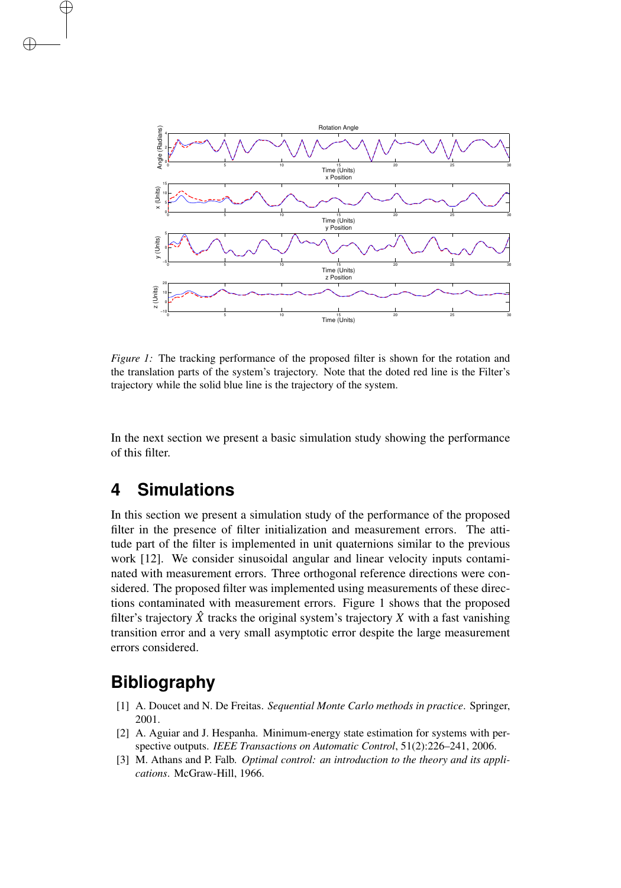

*Figure 1:* The tracking performance of the proposed filter is shown for the rotation and the translation parts of the system's trajectory. Note that the doted red line is the Filter's trajectory while the solid blue line is the trajectory of the system.

In the next section we present a basic simulation study showing the performance of this filter.

## **4 Simulations**

✐

✐

In this section we present a simulation study of the performance of the proposed filter in the presence of filter initialization and measurement errors. The attitude part of the filter is implemented in unit quaternions similar to the previous work [12]. We consider sinusoidal angular and linear velocity inputs contaminated with measurement errors. Three orthogonal reference directions were considered. The proposed filter was implemented using measurements of these directions contaminated with measurement errors. Figure 1 shows that the proposed filter's trajectory  $\hat{X}$  tracks the original system's trajectory X with a fast vanishing transition error and a very small asymptotic error despite the large measurement errors considered.

## **Bibliography**

- [1] A. Doucet and N. De Freitas. *Sequential Monte Carlo methods in practice*. Springer, 2001.
- [2] A. Aguiar and J. Hespanha. Minimum-energy state estimation for systems with perspective outputs. *IEEE Transactions on Automatic Control*, 51(2):226–241, 2006.
- [3] M. Athans and P. Falb. *Optimal control: an introduction to the theory and its applications*. McGraw-Hill, 1966.